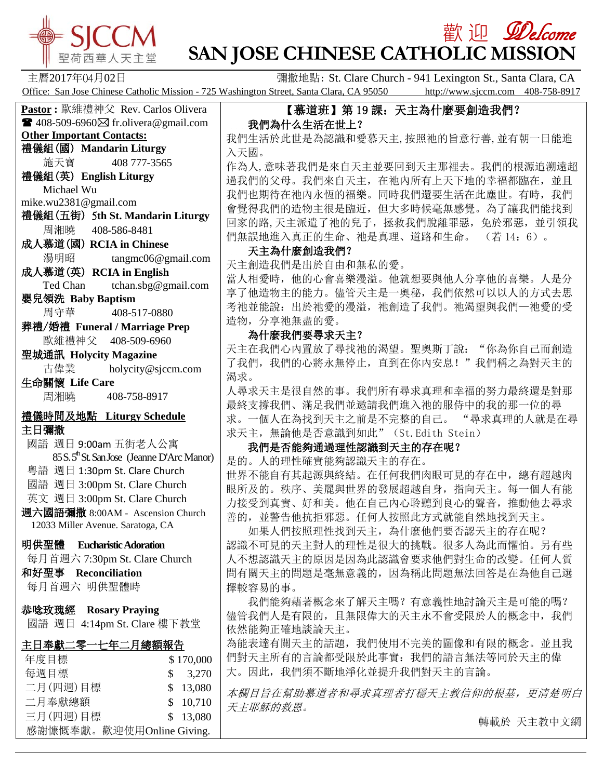

# **歡迎** *Welcome* **SAN JOSE CHINESE CATHOLIC MISSION**

Office: San Jose Chinese Catholic Mission - 725 Washington Street, Santa Clara, CA 95050 http://www.sjccm.com 408-758-8917

主曆2017年04月02日 彌撒地點: St. Clare Church - 941 Lexington St., Santa Clara, CA **Pastor :** 歐維禮神父 Rev. Carlos Olivera  $\mathbf{\widehat{408}}$ -509-6960 $\boxtimes$  fr.olivera@gmail.com **Other Important Contacts:** 禮儀組(國) **Mandarin Liturgy** 施天寶 408 777-3565 禮儀組(英) **English Liturgy** Michael Wu mike.wu2381@gmail.com 禮儀組(五街) 5**th St. Mandarin Liturgy** 周湘曉 408-586-8481 成人慕道(國) **RCIA in Chinese** 湯明昭 tangmc06@gmail.com 成人慕道(英) **RCIA in English** Ted Chan tchan.sbg@gmail.com 嬰兒領洗 **Baby Baptism** 周守華 408-517-0880 葬禮/婚禮 **Funeral / Marriage Prep** 歐維禮神父 408-509-6960 聖城通訊 **Holycity Magazine** 古偉業 [holycity@sjccm.com](mailto:holycity@sjccm.com) 生命關懷 **Life Care** 周湘曉 408-758-8917禮儀時間及地點 **Liturgy Schedule** 主日彌撒 國語 週日 9:00am 五街老人公寓  $85 S. 5<sup>th</sup>$ St. San Jose (Jeanne D'Arc Manor) 粵語 週日 1:30pm St. Clare Church 國語 週日 3:00pm St. Clare Church 英文 週日 3:00pm St. Clare Church 週六國語彌撒 8:00AM - Ascension Church 12033 Miller Avenue. Saratoga, CA 明供聖體 **Eucharistic Adoration** 每月首週六 7:30pm St. Clare Church 和好聖事 **Reconciliation** 每月首週六 明供聖體時 恭唸玫瑰經 **Rosary Praying** 國語 週日 4:14pm St. Clare 樓下教堂 主日奉獻二零一七年二月總額報告 年度目標 \$ 170,000 每週目標 \$ 3,270 二月(四週)目標 \$ 13,080 二月奉獻總額 \$ 10,710 三月(四週)目標 \$ 13.080 感謝慷慨奉獻。歡迎使用Online Giving. 【慕道班】第 19 課:天主為什麼要創造我們? 我們為什么生活在世上? 我們生活於此世是為認識和愛慕天主,按照祂的旨意行善,並有朝一日能進 入天國。 作為人,意味著我們是來自天主並要回到天主那裡去。我們的根源追溯遠超 過我們的父母。我們來自天主,在祂內所有上天下地的幸福都臨在,並且 我們也期待在祂內永恆的福樂。同時我們還要生活在此塵世。有時,我們 會覺得我們的造物主很是臨近,但大多時候毫無感覺。為了讓我們能找到 回家的路,天主派遣了祂的兒子,拯救我們脫離罪惡,免於邪惡,並引領我 們無誤地進入真正的生命、祂是真理、道路和生命。 (若 14:6)。 天主為什麼創造我們? 天主創造我們是出於自由和無私的愛。 當人相愛時,他的心會喜樂漫溢。他就想要與他人分享他的喜樂。人是分 享了他造物主的能力。儘管天主是一奧秘,我們依然可以以人的方式去思 考祂並能說:出於祂愛的漫溢,祂創造了我們。祂渴望與我們一祂愛的受 造物,分享祂無盡的愛。 為什麼我們要尋求天主? 天主在我們心內置放了尋找祂的渴望。聖奧斯丁說: "你為你自己而創造 了我們,我們的心將永無停止,直到在你內安息!"我們稱之為對天主的 渴求。 人尋求天主是很自然的事。我們所有尋求真理和幸福的努力最終還是對那 最終支撐我們、滿足我們並邀請我們進入祂的服侍中的我的那一位的尋 求。一個人在為找到天主之前是不完整的自己。 "尋求真理的人就是在尋 求天主, 無論他是否意識到如此" (St. Edith Stein) 我們是否能夠通過理性認識到天主的存在呢? 是的。人的理性確實能夠認識天主的存在。 世界不能自有其起源與終結。在任何我們肉眼可見的存在中,總有超越肉 眼所及的。秩序、美麗與世界的發展超越自身,指向天主。每一個人有能 力接受到真實、好和美。他在自己內心聆聽到良心的聲音,推動他去尋求 善的,並警告他抗拒邪惡。任何人按照此方式就能自然地找到天主。 如果人們按照理性找到天主,為什麼他們要否認天主的存在呢? 認識不可見的天主對人的理性是很大的挑戰。很多人為此而懼怕。另有些 人不想認識天主的原因是因為此認識會要求他們對生命的改變。任何人質 問有關天主的問題是毫無意義的,因為稱此問題無法回答是在為他自己選 擇較容易的事。 我們能夠藉著概念來了解天主嗎?有意義性地討論天主是可能的嗎? 儘管我們人是有限的,且無限偉大的天主永不會受限於人的概念中,我們 依然能夠正確地談論天主。 為能表達有關天主的話題,我們使用不完美的圖像和有限的概念。並且我 們對天主所有的言論都受限於此事實:我們的語言無法等同於天主的偉 大。因此,我們須不斷地淨化並提升我們對天主的言論。 本欄目旨在幫助慕道者和尋求真理者打穩天主教信仰的根基,更清楚明白 天主耶穌的救恩。 轉載於 [天主教中文網](http://mp.weixin.qq.com/s?__biz=MjM5OTM5ODAxMg==&mid=2653787371&idx=7&sn=7ec985c92fe1c0d126ae9b9d0096689a&chksm=bce52bf88b92a2ee64e96b58580593515be12bcbe691e33717be9a6aa26056b3c2a6e45dd16a&scene=0%23wechat_redirect)